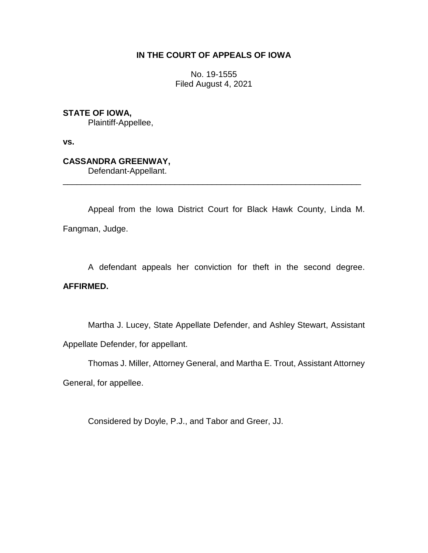## **IN THE COURT OF APPEALS OF IOWA**

No. 19-1555 Filed August 4, 2021

**STATE OF IOWA,**

Plaintiff-Appellee,

**vs.**

**CASSANDRA GREENWAY,**

Defendant-Appellant.

Appeal from the Iowa District Court for Black Hawk County, Linda M. Fangman, Judge.

\_\_\_\_\_\_\_\_\_\_\_\_\_\_\_\_\_\_\_\_\_\_\_\_\_\_\_\_\_\_\_\_\_\_\_\_\_\_\_\_\_\_\_\_\_\_\_\_\_\_\_\_\_\_\_\_\_\_\_\_\_\_\_\_

A defendant appeals her conviction for theft in the second degree.

## **AFFIRMED.**

Martha J. Lucey, State Appellate Defender, and Ashley Stewart, Assistant Appellate Defender, for appellant.

Thomas J. Miller, Attorney General, and Martha E. Trout, Assistant Attorney General, for appellee.

Considered by Doyle, P.J., and Tabor and Greer, JJ.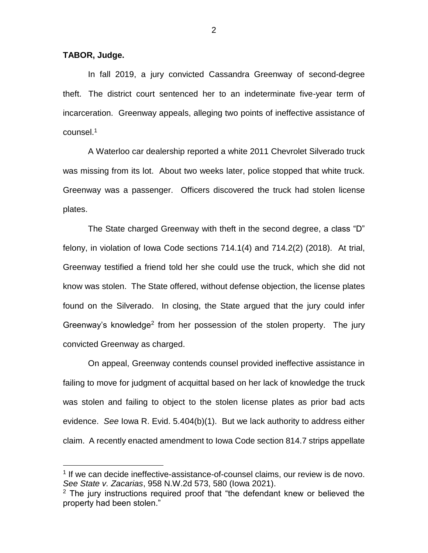**TABOR, Judge.**

 $\overline{a}$ 

In fall 2019, a jury convicted Cassandra Greenway of second-degree theft. The district court sentenced her to an indeterminate five-year term of incarceration. Greenway appeals, alleging two points of ineffective assistance of counsel. $^{\rm 1}$ 

A Waterloo car dealership reported a white 2011 Chevrolet Silverado truck was missing from its lot. About two weeks later, police stopped that white truck. Greenway was a passenger. Officers discovered the truck had stolen license plates.

The State charged Greenway with theft in the second degree, a class "D" felony, in violation of Iowa Code sections 714.1(4) and 714.2(2) (2018). At trial, Greenway testified a friend told her she could use the truck, which she did not know was stolen. The State offered, without defense objection, the license plates found on the Silverado. In closing, the State argued that the jury could infer Greenway's knowledge<sup>2</sup> from her possession of the stolen property. The jury convicted Greenway as charged.

On appeal, Greenway contends counsel provided ineffective assistance in failing to move for judgment of acquittal based on her lack of knowledge the truck was stolen and failing to object to the stolen license plates as prior bad acts evidence. *See* Iowa R. Evid. 5.404(b)(1). But we lack authority to address either claim. A recently enacted amendment to Iowa Code section 814.7 strips appellate

<sup>&</sup>lt;sup>1</sup> If we can decide ineffective-assistance-of-counsel claims, our review is de novo. *See State v. Zacarias*, 958 N.W.2d 573, 580 (Iowa 2021).

 $2$  The jury instructions required proof that "the defendant knew or believed the property had been stolen."